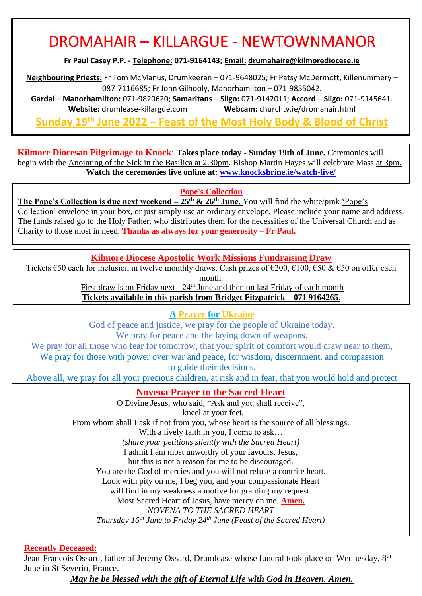# DROMAHAIR – KILLARGUE - NEWTOWNMANOR

**Fr Paul Casey P.P. - Telephone: 071-9164143; Email: [drumahaire@kilmorediocese.ie](about:blank)**

**Neighbouring Priests:** Fr Tom McManus, Drumkeeran – 071-9648025; Fr Patsy McDermott, Killenummery – 087-7116685; Fr John Gilhooly, Manorhamilton – 071-9855042.

**Gardaí – Manorhamilton:** 071-9820620; **Samaritans – Sligo:** 071-9142011; **Accord – Sligo:** 071-9145641. **Website:** drumlease-killargue.com **Webcam:** churchtv.ie/dromahair.html

**Sunday 19 th June 2022 – Feast of the Most Holy Body & Blood of Christ**

**Kilmore Diocesan Pilgrimage to Knock**: **Takes place today - Sunday 19th of June.** Ceremonies will begin with the Anointing of the Sick in the Basilica at 2.30pm. Bishop Martin Hayes will celebrate Mass at 3pm. **Watch the ceremonies live online at: [www.knockshrine.ie/watch-live/](file:///C:/Users/jmcmo/Dropbox/Bulletins%202022/www.knockshrine.ie/watch-live/)**

**Pope's Collection**

**The Pope's Collection is due next weekend – 25th & 26th June.** You will find the white/pink 'Pope's Collection' envelope in your box, or just simply use an ordinary envelope. Please include your name and address. The funds raised go to the Holy Father, who distributes them for the necessities of the Universal Church and as Charity to those most in need. **Thanks as always for your generosity – Fr Paul.**

**Kilmore Diocese Apostolic Work Missions Fundraising Draw**

Tickets  $\epsilon$ 50 each for inclusion in twelve monthly draws. Cash prizes of  $\epsilon$ 200,  $\epsilon$ 100,  $\epsilon$ 50 &  $\epsilon$ 50 on offer each month.

First draw is on Friday next - 24<sup>th</sup> June and then on last Friday of each month **Tickets available in this parish from Bridget Fitzpatrick – 071 9164265.**

**A Prayer for Ukraine**

God of peace and justice, we pray for the people of Ukraine today.

We pray for peace and the laying down of weapons.

We pray for all those who fear for tomorrow, that your spirit of comfort would draw near to them, We pray for those with power over war and peace, for wisdom, discernment, and compassion to guide their decisions.

Above all, we pray for all your precious children, at risk and in fear, that you would hold and protect

**Novena Prayer to the Sacred Heart** 

O Divine Jesus, who said, "Ask and you shall receive",

I kneel at your feet.

From whom shall I ask if not from you, whose heart is the source of all blessings.

With a lively faith in you, I come to ask...

*(share your petitions silently with the Sacred Heart)*

I admit I am most unworthy of your favours, Jesus,

but this is not a reason for me to be discouraged.

You are the God of mercies and you will not refuse a contrite heart.

Look with pity on me, I beg you, and your compassionate Heart

will find in my weakness a motive for granting my request.

Most Sacred Heart of Jesus, have mercy on me. **Amen.**

*NOVENA TO THE SACRED HEART* 

*Thursday 16th June to Friday 24th June (Feast of the Sacred Heart)*

**Recently Deceased:**

Jean-Francois Ossard, father of Jeremy Ossard, Drumlease whose funeral took place on Wednesday, 8<sup>th</sup> June in St Severin, France.

*May he be blessed with the gift of Eternal Life with God in Heaven. Amen.*